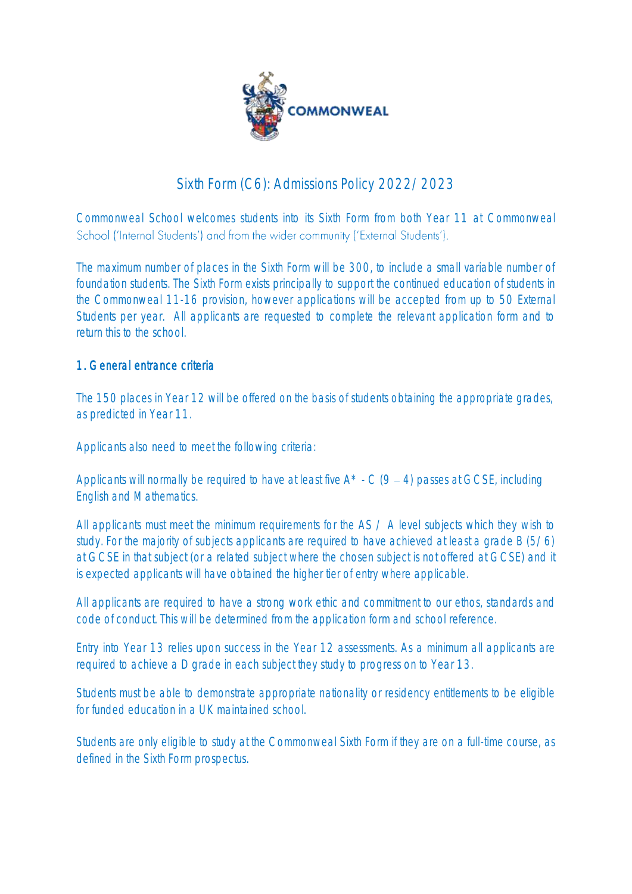

# Sixth Form (C6): Admissions Policy 2022/2023

Commonweal School welcomes students into its Sixth Form from both Year 11 at Commonweal School ('Internal Students') and from the wider community ('External Students').

The maximum number of places in the Sixth Form will be 300, to include a small variable number of foundation students. The Sixth Form exists principally to support the continued education of students in the Commonweal 11-16 provision, however applications will be accepted from up to 50 External Students per year. All applicants are requested to complete the relevant application form and to return this to the school.

# 1. General entrance criteria

The 150 places in Year 12 will be offered on the basis of students obtaining the appropriate grades, as predicted in Year 11.

Applicants also need to meet the following criteria:

Applicants will normally be required to have at least five  $A^*$  - C (9 – 4) passes at GCSE, including English and Mathematics.

All applicants must meet the minimum requirements for the AS / A level subjects which they wish to study. For the majority of subjects applicants are required to have achieved at least a grade B (5/6) at GCSE in that subject (or a related subject where the chosen subject is not offered at GCSE) and it is expected applicants will have obtained the higher tier of entry where applicable.

All applicants are required to have a strong work ethic and commitment to our ethos, standards and code of conduct. This will be determined from the application form and school reference.

Entry into Year 13 relies upon success in the Year 12 assessments. As a minimum all applicants are required to achieve a D grade in each subject they study to progress on to Year 13.

Students must be able to demonstrate appropriate nationality or residency entitlements to be eligible for funded education in a UK maintained school.

Students are only eligible to study at the Commonweal Sixth Form if they are on a full-time course, as defined in the Sixth Form prospectus.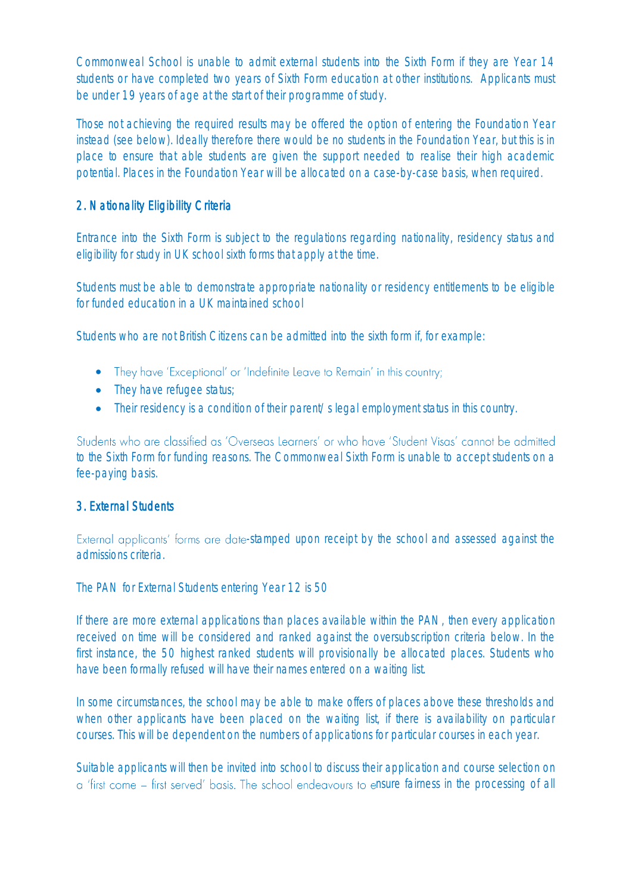Commonweal School is unable to admit external students into the Sixth Form if they are Year 14 students or have completed two years of Sixth Form education at other institutions. Applicants must be under 19 years of age at the start of their programme of study.

Those not achieving the required results may be offered the option of entering the Foundation Year instead (see below). Ideally therefore there would be no students in the Foundation Year, but this is in place to ensure that able students are given the support needed to realise their high academic potential. Places in the Foundation Year will be allocated on a case-by-case basis, when required.

# 2. Nationality Eligibility Criteria

Entrance into the Sixth Form is subject to the regulations regarding nationality, residency status and eligibility for study in UK school sixth forms that apply at the time.

Students must be able to demonstrate appropriate nationality or residency entitlements to be eligible for funded education in a UK maintained school

Students who are not British Citizens can be admitted into the sixth form if, for example:

- They have 'Exceptional' or 'Indefinite Leave to Remain' in this country;
- They have refugee status;
- Their residency is a condition of their parent/s legal employment status in this country.

Students who are classified as 'Overseas Learners' or who have 'Student Visas' cannot be admitted to the Sixth Form for funding reasons. The Commonweal Sixth Form is unable to accept students on a fee-paying basis.

## 3. External Students

External applicants' forms are date-stamped upon receipt by the school and assessed against the admissions criteria.

The PAN for External Students entering Year 12 is 50

If there are more external applications than places available within the PAN, then every application received on time will be considered and ranked against the oversubscription criteria below. In the first instance, the 50 highest ranked students will provisionally be allocated places. Students who have been formally refused will have their names entered on a waiting list.

In some circumstances, the school may be able to make offers of places above these thresholds and when other applicants have been placed on the waiting list, if there is availability on particular courses. This will be dependent on the numbers of applications for particular courses in each year.

Suitable applicants will then be invited into school to discuss their application and course selection on a 'first come – first served' basis. The school endeavours to ensure fairness in the processing of all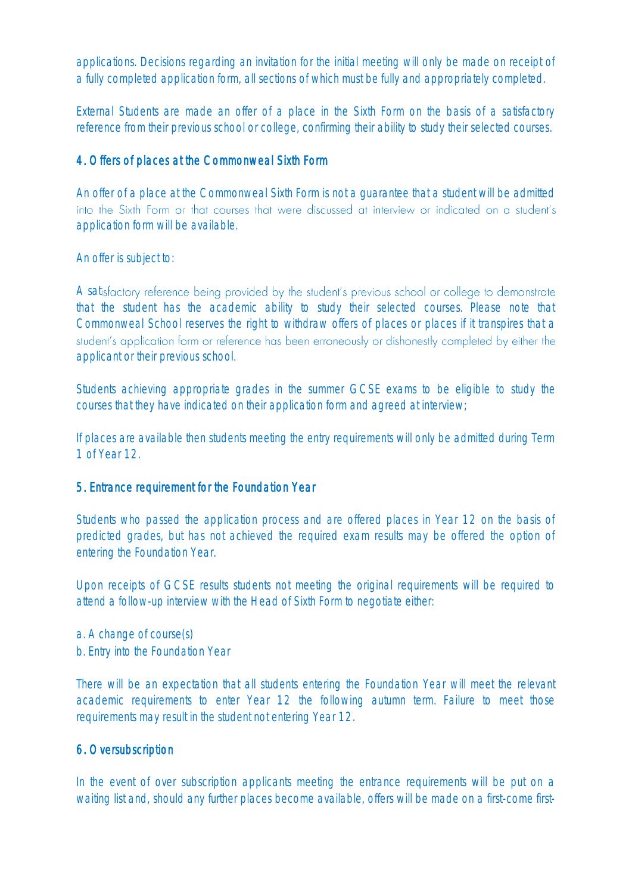applications. Decisions regarding an invitation for the initial meeting will only be made on receipt of a fully completed application form, all sections of which must be fully and appropriately completed.

External Students are made an offer of a place in the Sixth Form on the basis of a satisfactory reference from their previous school or college, confirming their ability to study their selected courses.

## 4. Offers of places at the Commonweal Sixth Form

An offer of a place at the Commonweal Sixth Form is not a guarantee that a student will be admitted into the Sixth Form or that courses that were discussed at interview or indicated on a student's application form will be available.

An offer is subject to:

A satisfactory reference being provided by the student's previous school or college to demonstrate that the student has the academic ability to study their selected courses. Please note that Commonweal School reserves the right to withdraw offers of places or places if it transpires that a student's application form or reference has been erroneously or dishonestly completed by either the applicant or their previous school.

Students achieving appropriate grades in the summer GCSE exams to be eligible to study the courses that they have indicated on their application form and agreed at interview;

If places are available then students meeting the entry requirements will only be admitted during Term 1 of Year 12.

#### 5. Entrance requirement for the Foundation Year

Students who passed the application process and are offered places in Year 12 on the basis of predicted grades, but has not achieved the required exam results may be offered the option of entering the Foundation Year.

Upon receipts of GCSE results students not meeting the original requirements will be required to attend a follow-up interview with the Head of Sixth Form to negotiate either:

a. A change of course(s)

b. Entry into the Foundation Year

There will be an expectation that all students entering the Foundation Year will meet the relevant academic requirements to enter Year 12 the following autumn term. Failure to meet those requirements may result in the student not entering Year 12.

#### 6. Oversubscription

In the event of over subscription applicants meeting the entrance requirements will be put on a waiting list and, should any further places become available, offers will be made on a first-come first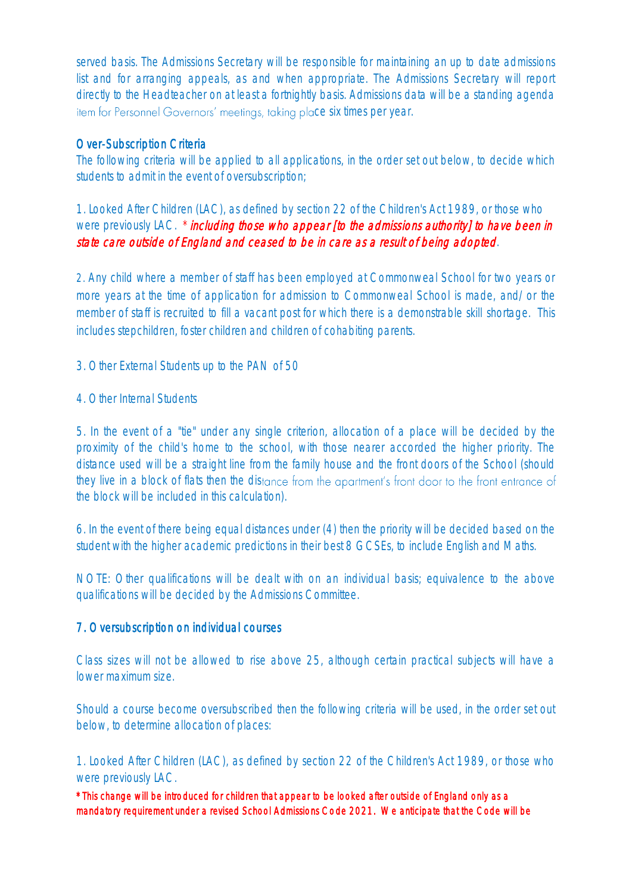served basis. The Admissions Secretary will be responsible for maintaining an up to date admissions list and for arranging appeals, as and when appropriate. The Admissions Secretary will report directly to the Headteacher on at least a fortnightly basis. Admissions data will be a standing agenda item for Personnel Governors' meetings, taking place six times per year.

## Over-Subscription Criteria

The following criteria will be applied to all applications, in the order set out below, to decide which students to admit in the event of oversubscription;

1. Looked After Children (LAC), as defined by section 22 of the Children's Act 1989, or those who were previously LAC.  $*$  including those who appear [to the admissions authority] to have been in state care outside of England and ceased to be in care as a result of being adopted.

2. Any child where a member of staff has been employed at Commonweal School for two years or more years at the time of application for admission to Commonweal School is made, and/or the member of staff is recruited to fill a vacant post for which there is a demonstrable skill shortage. This includes stepchildren, foster children and children of cohabiting parents.

3. Other External Students up to the PAN of 50

4. Other Internal Students

5. In the event of a "tie" under any single criterion, allocation of a place will be decided by the proximity of the child's home to the school, with those nearer accorded the higher priority. The distance used will be a straight line from the family house and the front doors of the School (should they live in a block of flats then the distance from the apartment's front door to the front entrance of the block will be included in this calculation).

6. In the event of there being equal distances under (4) then the priority will be decided based on the student with the higher academic predictions in their best 8 GCSEs, to include English and Maths.

NOTE: Other qualifications will be dealt with on an individual basis; equivalence to the above qualifications will be decided by the Admissions Committee.

# 7. Oversubscription on individual courses

Class sizes will not be allowed to rise above 25, although certain practical subjects will have a lower maximum size.

Should a course become oversubscribed then the following criteria will be used, in the order set out below, to determine allocation of places:

1. Looked After Children (LAC), as defined by section 22 of the Children's Act 1989, or those who were previously LAC.

\*This change will be introduced for children that appear to be looked after outside of England only as a mandatory requirement under a revised School Admissions Code 2021. We anticipate that the Code will be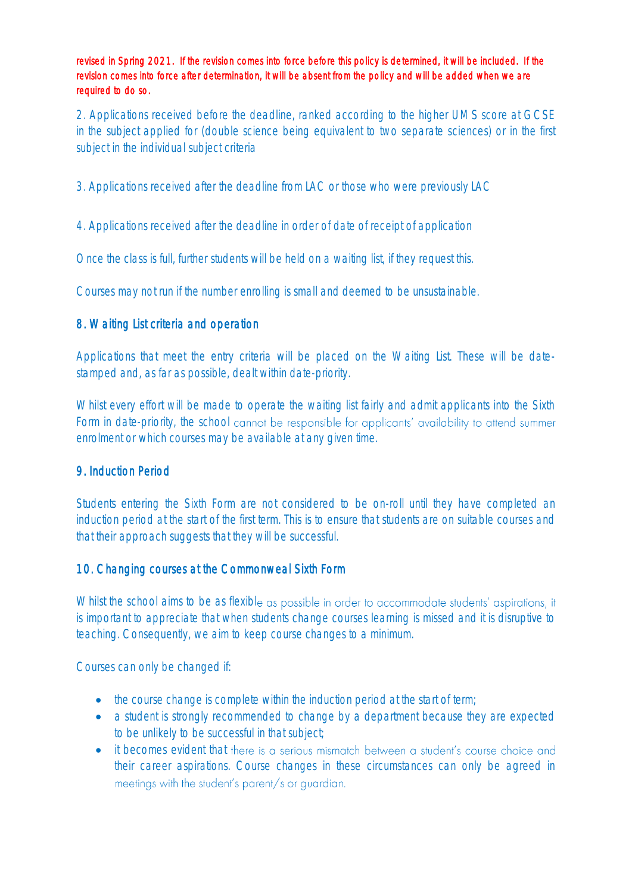revised in Spring 2021. If the revision comes into force before this policy is determined, it will be included. If the revision comes into force after determination, it will be absent from the policy and will be added when we are required to do so.

2. Applications received before the deadline, ranked according to the higher UMS score at GCSE in the subject applied for (double science being equivalent to two separate sciences) or in the first subject in the individual subject criteria

3. Applications received after the deadline from LAC or those who were previously LAC

4. Applications received after the deadline in order of date of receipt of application

Once the class is full, further students will be held on a waiting list, if they request this.

Courses may not run if the number enrolling is small and deemed to be unsustainable.

## 8. Waiting List criteria and operation

Applications that meet the entry criteria will be placed on the Waiting List. These will be datestamped and, as far as possible, dealt within date-priority.

Whilst every effort will be made to operate the waiting list fairly and admit applicants into the Sixth Form in date-priority, the school cannot be responsible for applicants' availability to attend summer enrolment or which courses may be available at any given time.

#### 9. Induction Period

Students entering the Sixth Form are not considered to be on-roll until they have completed an induction period at the start of the first term. This is to ensure that students are on suitable courses and that their approach suggests that they will be successful.

#### 10. Changing courses at the Commonweal Sixth Form

Whilst the school aims to be as flexible as possible in order to accommodate students' aspirations, it is important to appreciate that when students change courses learning is missed and it is disruptive to teaching. Consequently, we aim to keep course changes to a minimum.

Courses can only be changed if:

- the course change is complete within the induction period at the start of term;
- a student is strongly recommended to change by a department because they are expected to be unlikely to be successful in that subject;
- it becomes evident that there is a serious mismatch between a student's course choice and their career aspirations. Course changes in these circumstances can only be agreed in meetings with the student's parent/s or quardian.